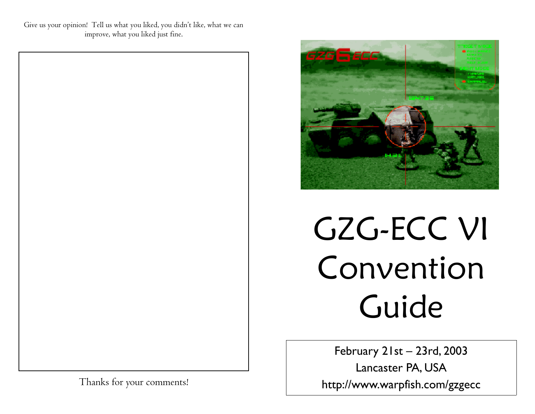Give us your opinion! Tell us what you liked, you didn't like, what we can improve, what you liked just fine.



# GZG-ECC VI Convention Guide

February 21st – 23rd, 2003

Lancaster PA, USA http://www.warpfish.com/gzgecc

Thanks for your comments!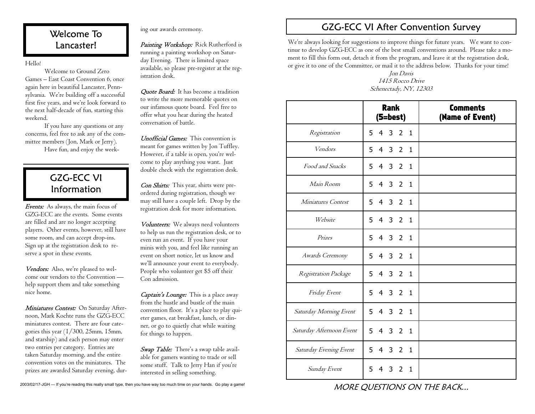# Welcome To Lancaster!

Hello!

 Welcome to Ground Zero Games – East Coast Convention 6, once again here in beautiful Lancaster, Pennsylvania. We're building off a successful first five years, and we're look forward to the next half-decade of fun, starting this weekend.

 If you have any questions or any concerns, feel free to ask any of the committee members (Jon, Mark or Jerry). Have fun, and enjoy the week-

# GZG-ECC VI Information

**Events:** As always, the main focus of GZG-ECC are the events. Some events are filled and are no longer accepting players. Other events, however, still have some room, and can accept drop-ins. Sign up at the registration desk to reserve a spot in these events.

Vendors: Also, we're pleased to welcome our vendors to the Convention help support them and take something nice home.

*Miniatures Contest:* On Saturday Afternoon, Mark Kochte runs the GZG-ECC miniatures contest. There are four categories this year (1/300, 25mm, 15mm, and starship) and each person may enter two entries per category. Entries are taken Saturday morning, and the entire convention votes on the miniatures. The prizes are awarded Saturday evening, dur-

ing our awards ceremony.<br>**Painting Workshop:** Rick Rutherford is running a painting workshop on Saturday Evening. There is limited space available, so please pre-register at the reg istration desk.

**Ouote Board:** It has become a tradition to write the more memorable quotes on our infamous quote board. Feel free to offer what you hear during the heated conversation of battle.

Unofficial Games: This convention is meant for games written by Jon Tuffley. However, if a table is open, you're welcome to play anything you want. Just double check with the registration desk.

Con Shirts: This year, shirts were preordered during registration, though we may still have a couple left. Drop by the registration desk for more information.

Volunteers: We always need volunteers to help us run the registration desk, or to even run an event. If you have your minis with you, and feel like running an event on short notice, let us know and we'll announce your event to everybody. People who volunteer get \$5 off their Con admission.

Captain's Lounge: This is a place away from the hustle and bustle of the main convention floor. It's a place to play quieter games, eat breakfast, lunch, or dinner, or go to quietly chat while waiting for things to happen.

Swap Table: There's a swap table available for gamers wanting to trade or sell some stuff. Talk to Jerry Han if you're interested in selling something.

# GZG-ECC VI After Convention Survey

We're always looking for suggestions to improve things for future years. We want to continue to develop GZG-ECC as one of the best small conventions around. Please take a moment to fill this form out, detach it from the program, and leave it at the registration desk, or give it to one of the Committee, or mail it to the address below. Thanks for your time!

> Jon Davis 1415 Rocco Drive Schenectady, NY, 12303

|                          | <b>Rank</b><br>(5=best)                         | <b>Comments</b><br>(Name of Event) |
|--------------------------|-------------------------------------------------|------------------------------------|
| Registration             | $4 \overline{3}$<br>2 <sub>1</sub><br>5         |                                    |
| Vendors                  | 432<br>5<br>$\mathbf{1}$                        |                                    |
| Food and Snacks          | 4 3 2 1<br>5                                    |                                    |
| Main Room                | 5<br>$4 \quad 3 \quad 2$<br>$\mathbf{1}$        |                                    |
| Miniatures Contest       | 4 3 2 1<br>5                                    |                                    |
| Website                  | $4 \quad 3 \quad 2$<br>5<br>$\mathbf{1}$        |                                    |
| Prizes                   | 5<br>4 3 2<br>$\mathbf{1}$                      |                                    |
| Awards Ceremony          | 5<br>4 3 2<br>$\mathbf{1}$                      |                                    |
| Registration Package     | 4 3 2 1<br>5                                    |                                    |
| Friday Event             | $4 \quad 3 \quad 2$<br>5<br>1                   |                                    |
| Saturday Morning Event   | 5 4 3 2 1                                       |                                    |
| Saturday Afternoon Event | 5 <sup>1</sup><br>4 3 2 1                       |                                    |
| Saturday Evening Event   | 5 4 3 2 1                                       |                                    |
| Sunday Event             | 5<br>$\overline{2}$<br>$\overline{4}$<br>3<br>1 |                                    |

MORE QUESTIONS ON THE BACK...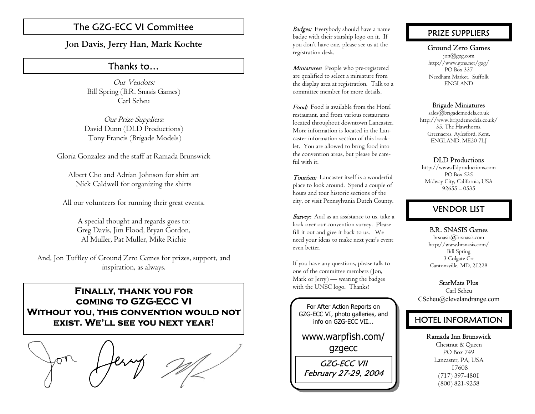# The GZG-ECC VI Committee **Badges:** Everybody should have a name

**Jon Davis, Jerry Han, Mark Kochte**

# Thanks to…

Our Vendors: Bill Spring (B.R. Snasis Games) Carl Scheu

Our Prize Suppliers: David Dunn (DLD Productions) Tony Francis (Brigade Models)

Gloria Gonzalez and the staff at Ramada Brunswick

Albert Cho and Adrian Johnson for shirt art Nick Caldwell for organizing the shirts

All our volunteers for running their great events.

A special thought and regards goes to: Greg Davis, Jim Flood, Bryan Gordon, Al Muller, Pat Muller, Mike Richie

And, Jon Tuffley of Ground Zero Games for prizes, support, and inspiration, as always.

**Finally, thank you for coming to GZG-ECC VI Without you, this convention would not exist. We'll see you next year!** 



badge with their starship logo on it. If you don't have one, please see us at the registration desk.

Miniatures: People who pre-registered are qualified to select a miniature from the display area at registration. Talk to a committee member for more details.

Food: Food is available from the Hotel restaurant, and from various restaurants located throughout downtown Lancaster. More information is located in the Lancaster information section of this booklet. You are allowed to bring food into the convention areas, but please be careful with it.

Tourism: Lancaster itself is a wonderful place to look around. Spend a couple of hours and tour historic sections of the city, or visit Pennsylvania Dutch County.

Survey: And as an assistance to us, take a look over our convention survey. Please fill it out and give it back to us. We need your ideas to make next year's event even better.

If you have any questions, please talk to one of the committee members (Jon, Mark or Jerry) — wearing the badges with the UNSC logo. Thanks!

For After Action Reports on GZG-ECC VI, photo galleries, and info on GZG-ECC VII...

www.warpfish.com/ gzgecc

GZG-ECC VII February 27-29, 2004

# PRIZE SUPPLIERS

#### Ground Zero Games

jon@gzg.com http://www.gtns.net/gzg/ PO Box 337 Needham Market, Suffolk ENGLAND

#### Brigade Miniatures

 $sales@brigademodels.co.uk$ http://www.brigademodels.co.uk/ 35, The Hawthorns, Greenacres, Aylesford, Kent, ENGLAND, ME20 7LJ

#### DLD Productions

http://www.dldproductions.com PO Box 535 Midway City, California, USA 92655 – 0535

# VENDOR LIST

#### B.R. SNASIS Games

brsnasis@brsnasis.com http://www.brsnasis.com/ Bill Spring 3 Colgate Crt Cantonsville, MD, 21228

#### StarMats Plus

Carl Scheu CScheu@clevelandrange.com

# HOTEL INFORMATION

Ramada Inn Brunswick

Chestnut & Queen PO Box 749 Lancaster, PA, USA 17608 (717) 397-4801 (800) 821-9258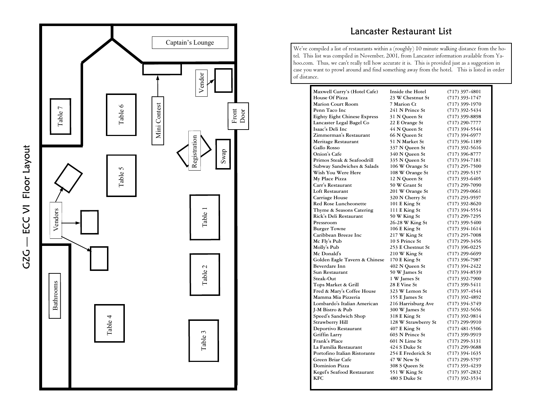

# Lancaster Restaurant List

We've compiled a list of restaurants within a (roughly) 10 minute walking distance from the hotel. This list was compiled in November, 2001, from Lancaster information available from Yahoo.com. Thus, we can't really tell how accurate it is. This is provided just as a suggestion in case you want to prowl around and find something away from the hotel. This is listed in order of distance.

| Maxwell Curry's (Hotel Cafe)        | Inside the Hotel    | $(717)$ 397-4801 |
|-------------------------------------|---------------------|------------------|
| House Of Pizza                      | 23 W Chestnut St    | $(717)$ 393-1747 |
| <b>Marion Court Room</b>            | 7 Marion Ct         | $(717)$ 399-1970 |
| Penn Taco Inc                       | 241 N Prince St     | (717) 392-5434   |
| <b>Eighty Eight Chinese Express</b> | 31 N Queen St       | $(717)$ 399-8898 |
| Lancaster Legal Bagel Co            | 22 E Orange St      | $(717)$ 290-7777 |
| Isaac's Deli Inc                    | 44 N Queen St       | $(717)$ 394-5544 |
| Zimmerman's Restaurant              | 66 N Queen St       | $(717)$ 394-6977 |
| Meritage Restaurant                 | 51 N Market St      | $(717)$ 396-1189 |
| Gallo Rosso                         | 337 N Queen St      | $(717)$ 392-5616 |
| Onion's Cafe                        | 340 N Queen St      | $(717)$ 396-8777 |
| Primos Steak & Seafoodrill          | 335 N Queen St      | $(717)$ 394-7181 |
| Subway Sandwiches & Salads          | 106 W Orange St     | $(717)$ 295-7500 |
| Wish You Were Here                  | 108 W Orange St     | $(717)$ 299-5157 |
| My Place Pizza                      | 12 N Queen St       | $(717)$ 393-6405 |
| Carr's Restaurant                   | 50 W Grant St       | $(717)$ 299-7090 |
| Loft Restaurant                     | 201 W Orange St     | $(717)$ 299-0661 |
| Carriage House                      | 320 N Cherry St     | $(717)$ 293-9597 |
| <b>Red Rose Luncheonette</b>        | 101 E King St       | $(717)$ 392-8620 |
| Thyme & Seasons Catering            | 111 E King St       | (717) 394-5554   |
| Rick's Deli Restaurant              | 50 W King St        | (717) 299-7295   |
| Pressroom                           | 26-28 W King St     | $(717)$ 399-5400 |
| <b>Burger Towne</b>                 | 106 E King St       | (717) 394-1614   |
| Caribbean Breeze Inc                | 217 W King St       | $(717)$ 295-7008 |
| Mc Fly's Pub                        | 10 S Prince St      | $(717)$ 299-3456 |
| Molly's Pub                         | 253 E Chestnut St   | $(717)$ 396-0225 |
| Mc Donald's                         | 210 W King St       | (717) 299-6699   |
| Golden Eagle Tavern & Chinese       | 170 E King St       | $(717)$ 396-7987 |
| <b>Beverdare Inn</b>                | 402 N Queen St      | $(717)$ 394-2422 |
| Sun Restaurant                      | 50 W James St       | $(717)$ 394-8539 |
| Steak-Out                           | 1 W James St        | $(717)$ 392-7900 |
| Tops Market & Grill                 | <b>28 E Vine St</b> | (717) 399-5411   |
| Fred & Mary's Coffee House          | 323 W Lemon St      | (717) 397-4544   |
| Mamma Mia Pizzeria                  | 155 E James St      | $(717)$ 392-4892 |
| Lombardo's Italian American         | 216 Harrisburg Ave  | (717) 394-3749   |
| J-M Bistro & Pub                    | 300 W James St      | $(717)$ 392-5656 |
| Speed's Sandwich Shop               | 318 E King St       | (717) 392-9814   |
| <b>Strawberry Hill</b>              | 128 W Strawberry St | (717) 299-9910   |
| Deportivo Restaurant                | 407 E King St       | $(717)$ 481-5506 |
| Griffin Larry                       | 603 N Prince St     | (717) 399-9919   |
| Frank's Place                       | 601 N Lime St       | $(717)$ 299-3131 |
| La Familia Restaurant               | 424 S Duke St       | $(717)$ 299-9688 |
| Portofino Italian Ristorante        | 254 E Frederick St  | $(717)$ 394-1635 |
| Green Briar Cafe                    | 47 W New St         | (717) 299-5797   |
| <b>Dominion Pizza</b>               | 308 S Queen St      | $(717)$ 393-4239 |
| Kegel's Seafood Restaurant          | 551 W King St       | $(717)$ 397-2832 |
| <b>KFC</b>                          | 480 S Duke St       | (717) 392-3534   |
|                                     |                     |                  |

GZG — ECC VI Floor Layout G2G - ECC VI Floor Layout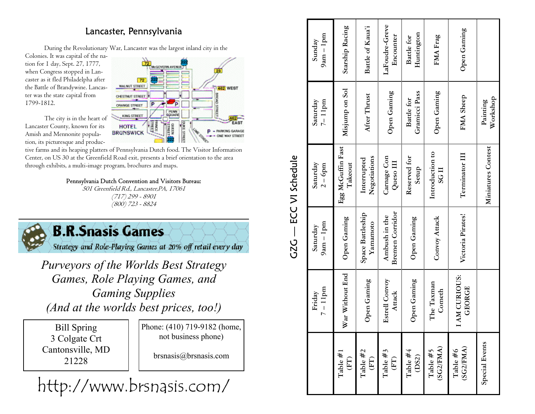# Lancaster, Pennsylvania

During the Revolutionary War, Lancaster was the largest inland city in the

Colonies. It was capital of the nation for 1 day, Sept. 27, 1777, when Congress stopped in Lancaster as it fled Philadelpha after the Battle of Brandywine. Lancaster was the state capital from 1799-1812.

 The city is in the heart of Lancaster County, known for its Amish and Mennonite population, its picturesque and produc-

tive farms and its heaping platters of Pennsylvania Dutch food. The Visitor Information Center, on US 30 at the Greenfield Road exit, presents a brief orientation to the area through exhibits, a multi-image program, brochures and maps.

## Pennsylvania Dutch Convention and Visitors Bureau:

501 Greenfield Rd., Lancaster,PA, 17061 (717) 299 - 8901 (800) 723 - 8824



*(And at the worlds best prices, too!)* 

Bill Spring 3 Colgate Crt Cantonsville, MD 21228

Phone: (410) 719-9182 (home, not business phone)

brsnasis@brsnasis.com

# http://www.brsnasis.com/

| GZG — ECC VI Schedule | $9am - 1pm$<br>Sunday   | Starship Racing               | Battle of Kaua'i             | LaFoudre-Greve<br>Encounter      | Huntington<br>Battle for    | FMA Frag                            | Open Gaming                  |                       |
|-----------------------|-------------------------|-------------------------------|------------------------------|----------------------------------|-----------------------------|-------------------------------------|------------------------------|-----------------------|
|                       | $7 - 11$ pm<br>Saturday | Misjump on Sol                | After Thrust                 | Open Gaming                      | Gramicci Pass<br>Battle for | Open Gaming                         | FMA Sheep                    | Workshop<br>Painting  |
|                       | Saturday<br>$2 - 6p$ m  | Egg McGuffin Fast<br>Takeout  | Negotiations<br>Interrupted  | Carnage Con<br>Queso III         | Reserved for<br>Setup       | Introduction to<br>SG <sub>II</sub> | Terminator III               | Miniatures Contest    |
|                       | $9am - 1pm$<br>Saturday | Open Gaming                   | Space Battleship<br>Yamamoto | Bremen Corridor<br>Ambush in the | Open Gaming                 | Convoy Attack                       | Victoria Pirates!            |                       |
|                       | $7 - 11$ pm<br>Friday   | War Without End               | Open Gaming                  | <b>Estrell Convoy</b><br>Attack  | Open Gaming                 | The Taxman<br>Cometh                | AM CURIOUS:<br><b>GEORGE</b> |                       |
|                       |                         | Table $#1$<br>$(\mathrm{FT})$ | Table $#2$<br>(FT)           | Table $#3$<br>$(\mathrm{FT})$    | Table #4<br>(DS2)           | (SG2/FMA)<br>Table $#5$             | (SG2/FMA)<br>Table $#6$      | <b>Special Events</b> |